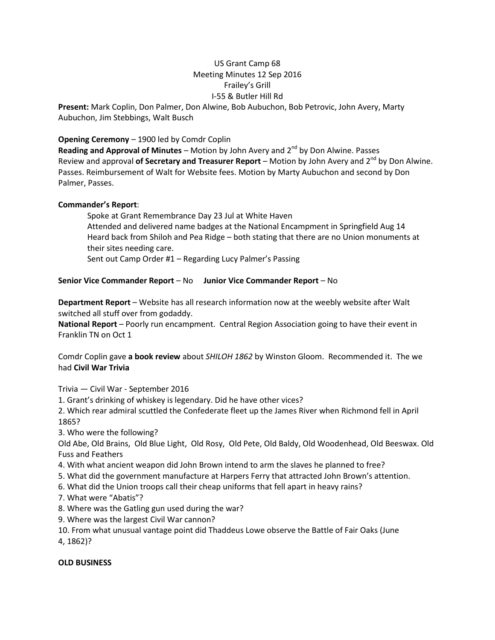## US Grant Camp 68 Meeting Minutes 12 Sep 2016 Frailey's Grill I-55 & Butler Hill Rd

**Present:** Mark Coplin, Don Palmer, Don Alwine, Bob Aubuchon, Bob Petrovic, John Avery, Marty Aubuchon, Jim Stebbings, Walt Busch

## **Opening Ceremony** – 1900 led by Comdr Coplin

**Reading and Approval of Minutes** – Motion by John Avery and 2<sup>nd</sup> by Don Alwine. Passes Review and approval **of Secretary and Treasurer Report** – Motion by John Avery and 2<sup>nd</sup> by Don Alwine. Passes. Reimbursement of Walt for Website fees. Motion by Marty Aubuchon and second by Don Palmer, Passes.

### **Commander's Report**:

Spoke at Grant Remembrance Day 23 Jul at White Haven Attended and delivered name badges at the National Encampment in Springfield Aug 14 Heard back from Shiloh and Pea Ridge – both stating that there are no Union monuments at their sites needing care.

Sent out Camp Order #1 – Regarding Lucy Palmer's Passing

## **Senior Vice Commander Report** – No **Junior Vice Commander Report** – No

**Department Report** – Website has all research information now at the weebly website after Walt switched all stuff over from godaddy.

**National Report** – Poorly run encampment. Central Region Association going to have their event in Franklin TN on Oct 1

Comdr Coplin gave **a book review** about *SHILOH 1862* by Winston Gloom. Recommended it. The we had **Civil War Trivia**

Trivia — Civil War - September 2016

1. Grant's drinking of whiskey is legendary. Did he have other vices?

2. Which rear admiral scuttled the Confederate fleet up the James River when Richmond fell in April 1865?

3. Who were the following?

Old Abe, Old Brains, Old Blue Light, Old Rosy, Old Pete, Old Baldy, Old Woodenhead, Old Beeswax. Old Fuss and Feathers

- 4. With what ancient weapon did John Brown intend to arm the slaves he planned to free?
- 5. What did the government manufacture at Harpers Ferry that attracted John Brown's attention.
- 6. What did the Union troops call their cheap uniforms that fell apart in heavy rains?
- 7. What were "Abatis"?
- 8. Where was the Gatling gun used during the war?
- 9. Where was the largest Civil War cannon?
- 10. From what unusual vantage point did Thaddeus Lowe observe the Battle of Fair Oaks (June 4, 1862)?

### **OLD BUSINESS**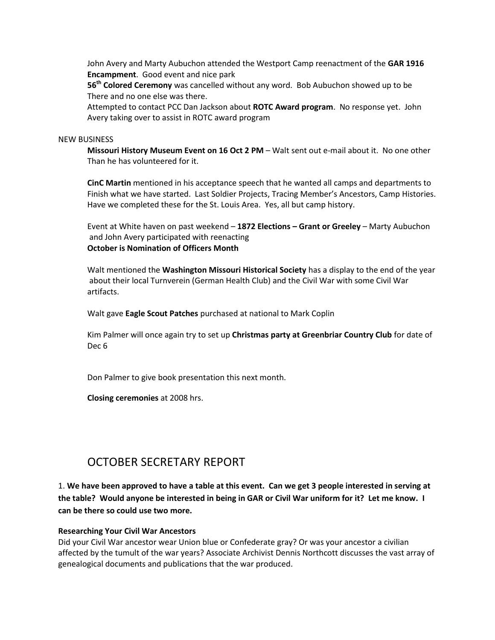John Avery and Marty Aubuchon attended the Westport Camp reenactment of the **GAR 1916 Encampment**. Good event and nice park

**56th Colored Ceremony** was cancelled without any word. Bob Aubuchon showed up to be There and no one else was there.

Attempted to contact PCC Dan Jackson about **ROTC Award program**. No response yet. John Avery taking over to assist in ROTC award program

#### NEW BUSINESS

**Missouri History Museum Event on 16 Oct 2 PM** – Walt sent out e-mail about it. No one other Than he has volunteered for it.

**CinC Martin** mentioned in his acceptance speech that he wanted all camps and departments to Finish what we have started. Last Soldier Projects, Tracing Member's Ancestors, Camp Histories. Have we completed these for the St. Louis Area. Yes, all but camp history.

Event at White haven on past weekend – **1872 Elections – Grant or Greeley** – Marty Aubuchon and John Avery participated with reenacting **October is Nomination of Officers Month**

Walt mentioned the **Washington Missouri Historical Society** has a display to the end of the year about their local Turnverein (German Health Club) and the Civil War with some Civil War artifacts.

Walt gave **Eagle Scout Patches** purchased at national to Mark Coplin

Kim Palmer will once again try to set up **Christmas party at Greenbriar Country Club** for date of Dec 6

Don Palmer to give book presentation this next month.

**Closing ceremonies** at 2008 hrs.

## OCTOBER SECRETARY REPORT

1. **We have been approved to have a table at this event. Can we get 3 people interested in serving at the table? Would anyone be interested in being in GAR or Civil War uniform for it? Let me know. I can be there so could use two more.**

#### **Researching Your Civil War Ancestors**

Did your Civil War ancestor wear Union blue or Confederate gray? Or was your ancestor a civilian affected by the tumult of the war years? Associate Archivist Dennis Northcott discusses the vast array of genealogical documents and publications that the war produced.